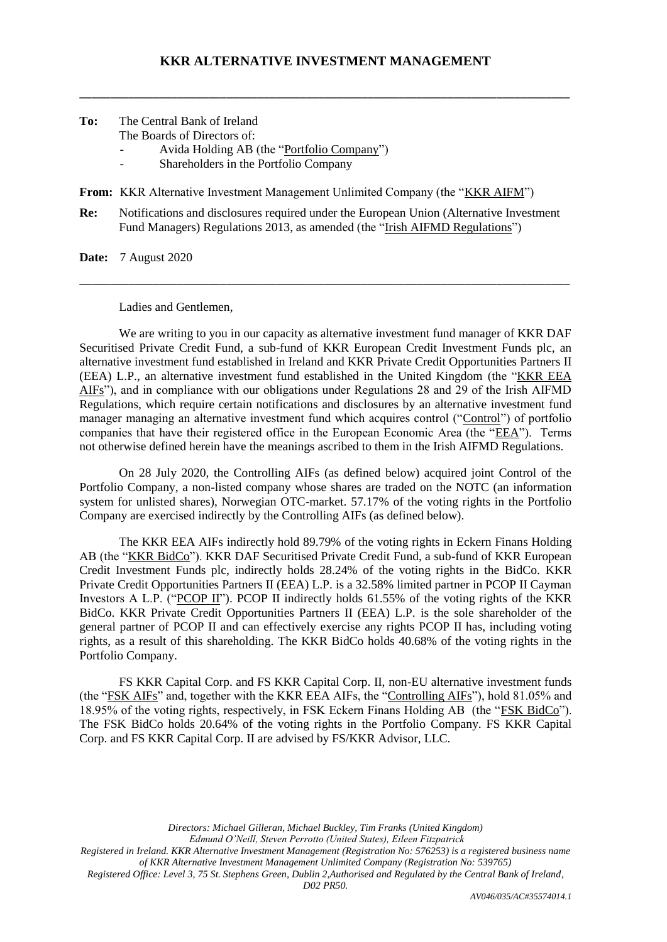\_\_\_\_\_\_\_\_\_\_\_\_\_\_\_\_\_\_\_\_\_\_\_\_\_\_\_\_\_\_\_\_\_\_\_\_\_\_\_\_\_\_\_\_\_\_\_\_\_\_\_\_\_\_\_\_\_\_\_\_\_\_\_\_\_\_\_\_\_\_\_\_\_\_\_\_\_\_\_\_

- **To:** The Central Bank of Ireland The Boards of Directors of:
	- Avida Holding AB (the "Portfolio Company")
	- Shareholders in the Portfolio Company
- **From:** KKR Alternative Investment Management Unlimited Company (the "KKR AIFM")
- **Re:** Notifications and disclosures required under the European Union (Alternative Investment Fund Managers) Regulations 2013, as amended (the "Irish AIFMD Regulations")

\_\_\_\_\_\_\_\_\_\_\_\_\_\_\_\_\_\_\_\_\_\_\_\_\_\_\_\_\_\_\_\_\_\_\_\_\_\_\_\_\_\_\_\_\_\_\_\_\_\_\_\_\_\_\_\_\_\_\_\_\_\_\_\_\_\_\_\_\_\_\_\_\_\_\_\_\_\_\_\_

**Date:** 7 August 2020

Ladies and Gentlemen,

We are writing to you in our capacity as alternative investment fund manager of KKR DAF Securitised Private Credit Fund, a sub-fund of KKR European Credit Investment Funds plc, an alternative investment fund established in Ireland and KKR Private Credit Opportunities Partners II (EEA) L.P., an alternative investment fund established in the United Kingdom (the "KKR EEA AIFs"), and in compliance with our obligations under Regulations 28 and 29 of the Irish AIFMD Regulations, which require certain notifications and disclosures by an alternative investment fund manager managing an alternative investment fund which acquires control ("Control") of portfolio companies that have their registered office in the European Economic Area (the "EEA"). Terms not otherwise defined herein have the meanings ascribed to them in the Irish AIFMD Regulations.

On 28 July 2020, the Controlling AIFs (as defined below) acquired joint Control of the Portfolio Company, a non-listed company whose shares are traded on the NOTC (an information system for unlisted shares), Norwegian OTC-market. 57.17% of the voting rights in the Portfolio Company are exercised indirectly by the Controlling AIFs (as defined below).

The KKR EEA AIFs indirectly hold 89.79% of the voting rights in Eckern Finans Holding AB (the "KKR BidCo"). KKR DAF Securitised Private Credit Fund, a sub-fund of KKR European Credit Investment Funds plc, indirectly holds 28.24% of the voting rights in the BidCo. KKR Private Credit Opportunities Partners II (EEA) L.P. is a 32.58% limited partner in PCOP II Cayman Investors A L.P. ("PCOP II"). PCOP II indirectly holds 61.55% of the voting rights of the KKR BidCo. KKR Private Credit Opportunities Partners II (EEA) L.P. is the sole shareholder of the general partner of PCOP II and can effectively exercise any rights PCOP II has, including voting rights, as a result of this shareholding. The KKR BidCo holds 40.68% of the voting rights in the Portfolio Company.

FS KKR Capital Corp. and FS KKR Capital Corp. II, non-EU alternative investment funds (the "FSK AIFs" and, together with the KKR EEA AIFs, the "Controlling AIFs"), hold 81.05% and 18.95% of the voting rights, respectively, in FSK Eckern Finans Holding AB (the "FSK BidCo"). The FSK BidCo holds 20.64% of the voting rights in the Portfolio Company. FS KKR Capital Corp. and FS KKR Capital Corp. II are advised by FS/KKR Advisor, LLC.

> *Directors: Michael Gilleran, Michael Buckley, Tim Franks (United Kingdom) Edmund O'Neill, Steven Perrotto (United States), Eileen Fitzpatrick*

*Registered in Ireland. KKR Alternative Investment Management (Registration No: 576253) is a registered business name of KKR Alternative Investment Management Unlimited Company (Registration No: 539765)*

*Registered Office: Level 3, 75 St. Stephens Green, Dublin 2,Authorised and Regulated by the Central Bank of Ireland,* 

*D02 PR50.*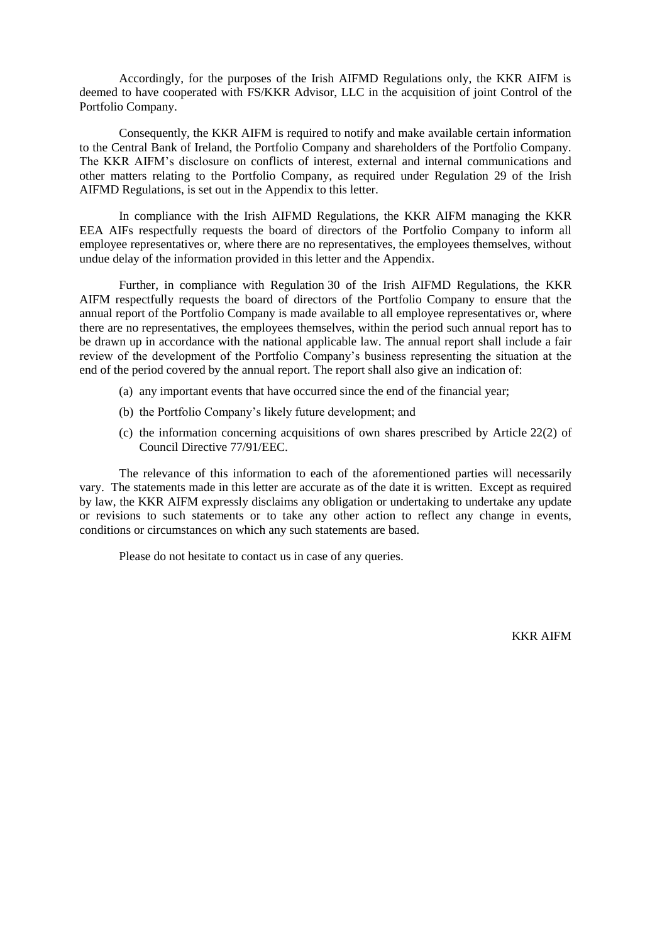Accordingly, for the purposes of the Irish AIFMD Regulations only, the KKR AIFM is deemed to have cooperated with FS/KKR Advisor, LLC in the acquisition of joint Control of the Portfolio Company.

Consequently, the KKR AIFM is required to notify and make available certain information to the Central Bank of Ireland, the Portfolio Company and shareholders of the Portfolio Company. The KKR AIFM's disclosure on conflicts of interest, external and internal communications and other matters relating to the Portfolio Company, as required under Regulation 29 of the Irish AIFMD Regulations, is set out in the Appendix to this letter.

In compliance with the Irish AIFMD Regulations, the KKR AIFM managing the KKR EEA AIFs respectfully requests the board of directors of the Portfolio Company to inform all employee representatives or, where there are no representatives, the employees themselves, without undue delay of the information provided in this letter and the Appendix.

Further, in compliance with Regulation 30 of the Irish AIFMD Regulations, the KKR AIFM respectfully requests the board of directors of the Portfolio Company to ensure that the annual report of the Portfolio Company is made available to all employee representatives or, where there are no representatives, the employees themselves, within the period such annual report has to be drawn up in accordance with the national applicable law. The annual report shall include a fair review of the development of the Portfolio Company's business representing the situation at the end of the period covered by the annual report. The report shall also give an indication of:

- (a) any important events that have occurred since the end of the financial year;
- (b) the Portfolio Company's likely future development; and
- (c) the information concerning acquisitions of own shares prescribed by Article 22(2) of Council Directive 77/91/EEC.

The relevance of this information to each of the aforementioned parties will necessarily vary. The statements made in this letter are accurate as of the date it is written. Except as required by law, the KKR AIFM expressly disclaims any obligation or undertaking to undertake any update or revisions to such statements or to take any other action to reflect any change in events, conditions or circumstances on which any such statements are based.

Please do not hesitate to contact us in case of any queries.

KKR AIFM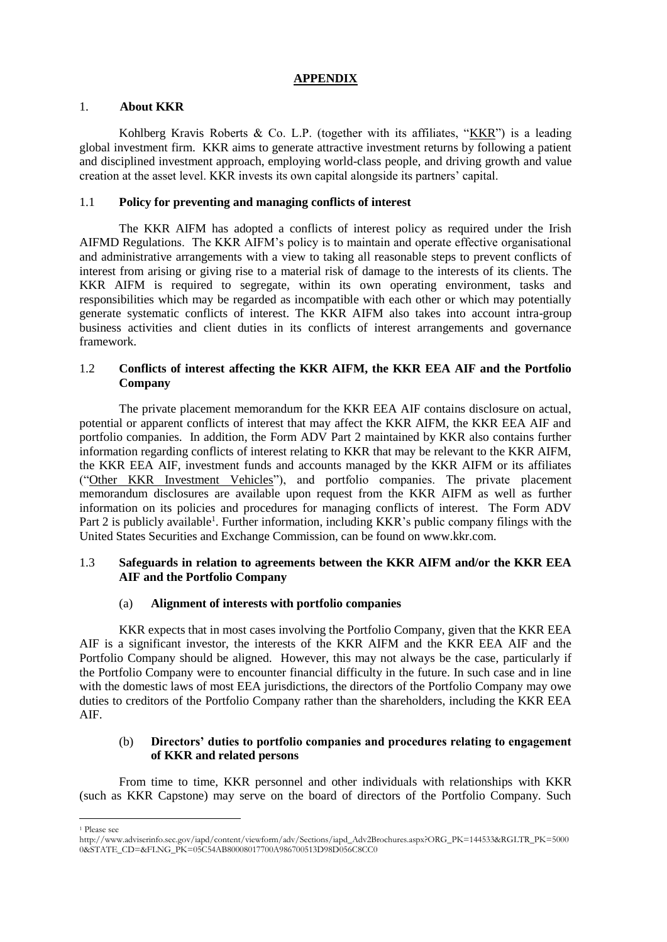# **APPENDIX**

## 1. **About KKR**

Kohlberg Kravis Roberts & Co. L.P. (together with its affiliates, "KKR") is a leading global investment firm. KKR aims to generate attractive investment returns by following a patient and disciplined investment approach, employing world-class people, and driving growth and value creation at the asset level. KKR invests its own capital alongside its partners' capital.

## 1.1 **Policy for preventing and managing conflicts of interest**

The KKR AIFM has adopted a conflicts of interest policy as required under the Irish AIFMD Regulations. The KKR AIFM's policy is to maintain and operate effective organisational and administrative arrangements with a view to taking all reasonable steps to prevent conflicts of interest from arising or giving rise to a material risk of damage to the interests of its clients. The KKR AIFM is required to segregate, within its own operating environment, tasks and responsibilities which may be regarded as incompatible with each other or which may potentially generate systematic conflicts of interest. The KKR AIFM also takes into account intra-group business activities and client duties in its conflicts of interest arrangements and governance framework.

# 1.2 **Conflicts of interest affecting the KKR AIFM, the KKR EEA AIF and the Portfolio Company**

The private placement memorandum for the KKR EEA AIF contains disclosure on actual, potential or apparent conflicts of interest that may affect the KKR AIFM, the KKR EEA AIF and portfolio companies. In addition, the Form ADV Part 2 maintained by KKR also contains further information regarding conflicts of interest relating to KKR that may be relevant to the KKR AIFM, the KKR EEA AIF, investment funds and accounts managed by the KKR AIFM or its affiliates ("Other KKR Investment Vehicles"), and portfolio companies. The private placement memorandum disclosures are available upon request from the KKR AIFM as well as further information on its policies and procedures for managing conflicts of interest. The Form ADV Part 2 is publicly available<sup>1</sup>. Further information, including KKR's public company filings with the United States Securities and Exchange Commission, can be found on www.kkr.com.

# 1.3 **Safeguards in relation to agreements between the KKR AIFM and/or the KKR EEA AIF and the Portfolio Company**

# (a) **Alignment of interests with portfolio companies**

KKR expects that in most cases involving the Portfolio Company, given that the KKR EEA AIF is a significant investor, the interests of the KKR AIFM and the KKR EEA AIF and the Portfolio Company should be aligned. However, this may not always be the case, particularly if the Portfolio Company were to encounter financial difficulty in the future. In such case and in line with the domestic laws of most EEA jurisdictions, the directors of the Portfolio Company may owe duties to creditors of the Portfolio Company rather than the shareholders, including the KKR EEA AIF.

## (b) **Directors' duties to portfolio companies and procedures relating to engagement of KKR and related persons**

From time to time, KKR personnel and other individuals with relationships with KKR (such as KKR Capstone) may serve on the board of directors of the Portfolio Company. Such

 $\overline{a}$ 

<sup>1</sup> Please see

http://www.adviserinfo.sec.gov/iapd/content/viewform/adv/Sections/iapd\_Adv2Brochures.aspx?ORG\_PK=144533&RGLTR\_PK=5000 0&STATE\_CD=&FLNG\_PK=05C54AB80008017700A986700513D98D056C8CC0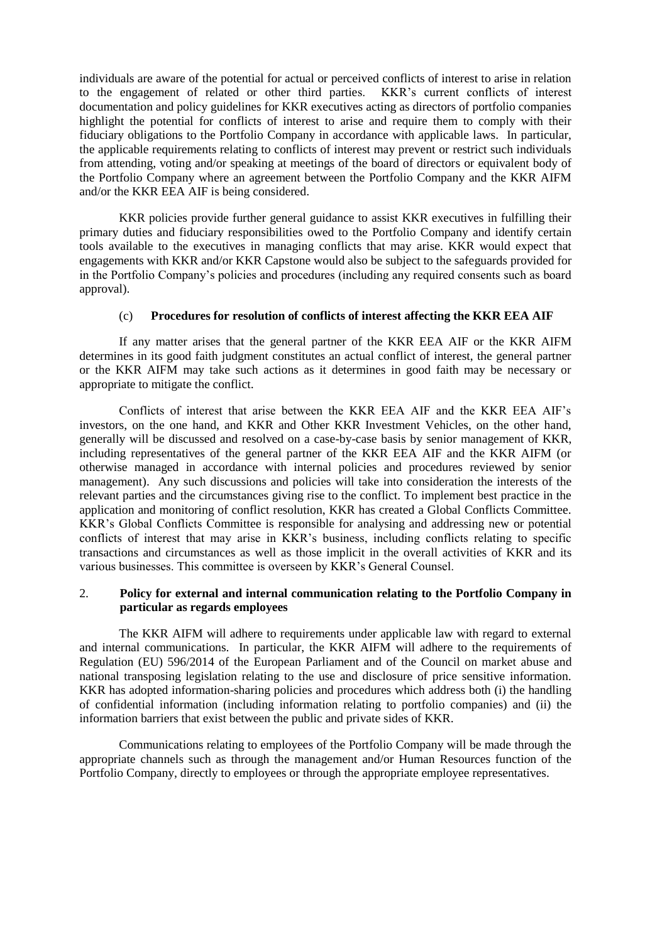individuals are aware of the potential for actual or perceived conflicts of interest to arise in relation to the engagement of related or other third parties. KKR's current conflicts of interest documentation and policy guidelines for KKR executives acting as directors of portfolio companies highlight the potential for conflicts of interest to arise and require them to comply with their fiduciary obligations to the Portfolio Company in accordance with applicable laws. In particular, the applicable requirements relating to conflicts of interest may prevent or restrict such individuals from attending, voting and/or speaking at meetings of the board of directors or equivalent body of the Portfolio Company where an agreement between the Portfolio Company and the KKR AIFM and/or the KKR EEA AIF is being considered.

KKR policies provide further general guidance to assist KKR executives in fulfilling their primary duties and fiduciary responsibilities owed to the Portfolio Company and identify certain tools available to the executives in managing conflicts that may arise. KKR would expect that engagements with KKR and/or KKR Capstone would also be subject to the safeguards provided for in the Portfolio Company's policies and procedures (including any required consents such as board approval).

#### (c) **Procedures for resolution of conflicts of interest affecting the KKR EEA AIF**

If any matter arises that the general partner of the KKR EEA AIF or the KKR AIFM determines in its good faith judgment constitutes an actual conflict of interest, the general partner or the KKR AIFM may take such actions as it determines in good faith may be necessary or appropriate to mitigate the conflict.

Conflicts of interest that arise between the KKR EEA AIF and the KKR EEA AIF's investors, on the one hand, and KKR and Other KKR Investment Vehicles, on the other hand, generally will be discussed and resolved on a case-by-case basis by senior management of KKR, including representatives of the general partner of the KKR EEA AIF and the KKR AIFM (or otherwise managed in accordance with internal policies and procedures reviewed by senior management). Any such discussions and policies will take into consideration the interests of the relevant parties and the circumstances giving rise to the conflict. To implement best practice in the application and monitoring of conflict resolution, KKR has created a Global Conflicts Committee. KKR's Global Conflicts Committee is responsible for analysing and addressing new or potential conflicts of interest that may arise in KKR's business, including conflicts relating to specific transactions and circumstances as well as those implicit in the overall activities of KKR and its various businesses. This committee is overseen by KKR's General Counsel.

## 2. **Policy for external and internal communication relating to the Portfolio Company in particular as regards employees**

The KKR AIFM will adhere to requirements under applicable law with regard to external and internal communications. In particular, the KKR AIFM will adhere to the requirements of Regulation (EU) 596/2014 of the European Parliament and of the Council on market abuse and national transposing legislation relating to the use and disclosure of price sensitive information. KKR has adopted information-sharing policies and procedures which address both (i) the handling of confidential information (including information relating to portfolio companies) and (ii) the information barriers that exist between the public and private sides of KKR.

Communications relating to employees of the Portfolio Company will be made through the appropriate channels such as through the management and/or Human Resources function of the Portfolio Company, directly to employees or through the appropriate employee representatives.